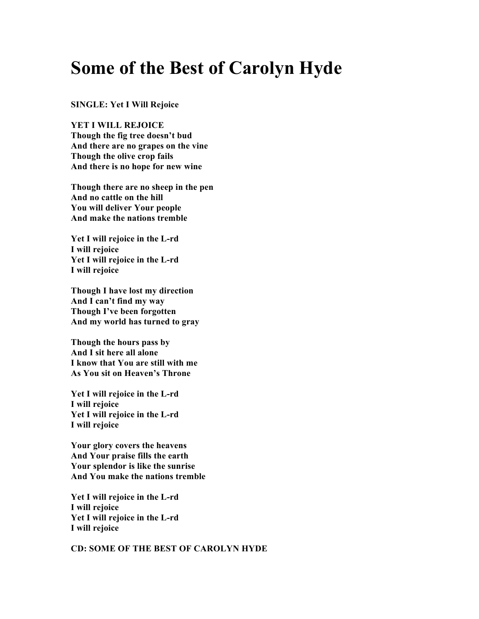# **Some of the Best of Carolyn Hyde**

**SINGLE: Yet I Will Rejoice**

**YET I WILL REJOICE Though the fig tree doesn't bud And there are no grapes on the vine Though the olive crop fails And there is no hope for new wine**

**Though there are no sheep in the pen And no cattle on the hill You will deliver Your people And make the nations tremble**

**Yet I will rejoice in the L-rd I will rejoice Yet I will rejoice in the L-rd I will rejoice**

**Though I have lost my direction And I can't find my way Though I've been forgotten And my world has turned to gray**

**Though the hours pass by And I sit here all alone I know that You are still with me As You sit on Heaven's Throne**

**Yet I will rejoice in the L-rd I will rejoice Yet I will rejoice in the L-rd I will rejoice**

**Your glory covers the heavens And Your praise fills the earth Your splendor is like the sunrise And You make the nations tremble**

**Yet I will rejoice in the L-rd I will rejoice Yet I will rejoice in the L-rd I will rejoice**

**CD: SOME OF THE BEST OF CAROLYN HYDE**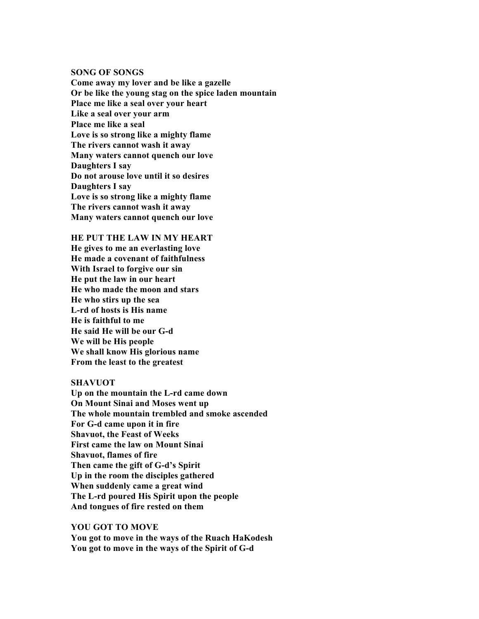#### **SONG OF SONGS**

**Come away my lover and be like a gazelle Or be like the young stag on the spice laden mountain Place me like a seal over your heart Like a seal over your arm Place me like a seal Love is so strong like a mighty flame The rivers cannot wash it away Many waters cannot quench our love Daughters I say Do not arouse love until it so desires Daughters I say Love is so strong like a mighty flame The rivers cannot wash it away Many waters cannot quench our love**

# **HE PUT THE LAW IN MY HEART**

**He gives to me an everlasting love He made a covenant of faithfulness With Israel to forgive our sin He put the law in our heart He who made the moon and stars He who stirs up the sea L-rd of hosts is His name He is faithful to me He said He will be our G-d We will be His people We shall know His glorious name From the least to the greatest**

## **SHAVUOT**

**Up on the mountain the L-rd came down On Mount Sinai and Moses went up The whole mountain trembled and smoke ascended For G-d came upon it in fire Shavuot, the Feast of Weeks First came the law on Mount Sinai Shavuot, flames of fire Then came the gift of G-d's Spirit Up in the room the disciples gathered When suddenly came a great wind The L-rd poured His Spirit upon the people And tongues of fire rested on them**

# **YOU GOT TO MOVE**

**You got to move in the ways of the Ruach HaKodesh You got to move in the ways of the Spirit of G-d**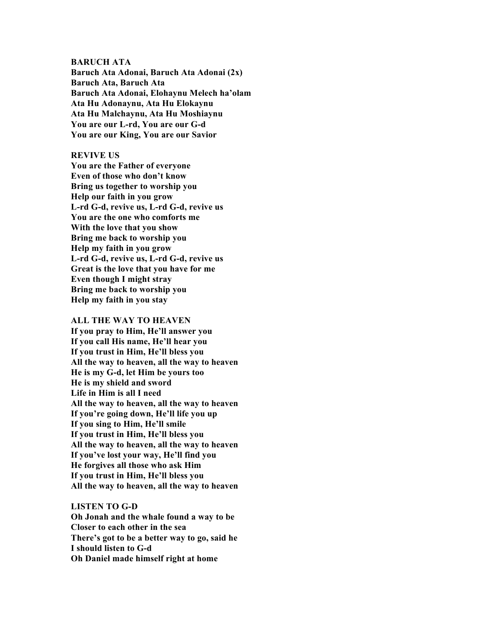#### **BARUCH ATA**

**Baruch Ata Adonai, Baruch Ata Adonai (2x) Baruch Ata, Baruch Ata Baruch Ata Adonai, Elohaynu Melech ha'olam Ata Hu Adonaynu, Ata Hu Elokaynu Ata Hu Malchaynu, Ata Hu Moshiaynu You are our L-rd, You are our G-d You are our King, You are our Savior**

### **REVIVE US**

**You are the Father of everyone Even of those who don't know Bring us together to worship you Help our faith in you grow L-rd G-d, revive us, L-rd G-d, revive us You are the one who comforts me With the love that you show Bring me back to worship you Help my faith in you grow L-rd G-d, revive us, L-rd G-d, revive us Great is the love that you have for me Even though I might stray Bring me back to worship you Help my faith in you stay**

#### **ALL THE WAY TO HEAVEN**

**If you pray to Him, He'll answer you If you call His name, He'll hear you If you trust in Him, He'll bless you All the way to heaven, all the way to heaven He is my G-d, let Him be yours too He is my shield and sword Life in Him is all I need All the way to heaven, all the way to heaven If you're going down, He'll life you up If you sing to Him, He'll smile If you trust in Him, He'll bless you All the way to heaven, all the way to heaven If you've lost your way, He'll find you He forgives all those who ask Him If you trust in Him, He'll bless you All the way to heaven, all the way to heaven**

#### **LISTEN TO G-D**

**Oh Jonah and the whale found a way to be Closer to each other in the sea There's got to be a better way to go, said he I should listen to G-d Oh Daniel made himself right at home**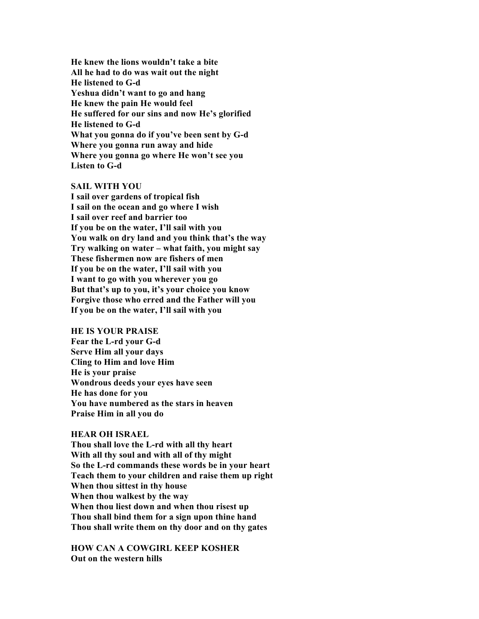**He knew the lions wouldn't take a bite All he had to do was wait out the night He listened to G-d Yeshua didn't want to go and hang He knew the pain He would feel He suffered for our sins and now He's glorified He listened to G-d What you gonna do if you've been sent by G-d Where you gonna run away and hide Where you gonna go where He won't see you Listen to G-d**

## **SAIL WITH YOU**

**I sail over gardens of tropical fish I sail on the ocean and go where I wish I sail over reef and barrier too If you be on the water, I'll sail with you You walk on dry land and you think that's the way Try walking on water – what faith, you might say These fishermen now are fishers of men If you be on the water, I'll sail with you I want to go with you wherever you go But that's up to you, it's your choice you know Forgive those who erred and the Father will you If you be on the water, I'll sail with you**

#### **HE IS YOUR PRAISE**

**Fear the L-rd your G-d Serve Him all your days Cling to Him and love Him He is your praise Wondrous deeds your eyes have seen He has done for you You have numbered as the stars in heaven Praise Him in all you do**

## **HEAR OH ISRAEL**

**Thou shall love the L-rd with all thy heart With all thy soul and with all of thy might So the L-rd commands these words be in your heart Teach them to your children and raise them up right When thou sittest in thy house When thou walkest by the way When thou liest down and when thou risest up Thou shall bind them for a sign upon thine hand Thou shall write them on thy door and on thy gates**

**HOW CAN A COWGIRL KEEP KOSHER Out on the western hills**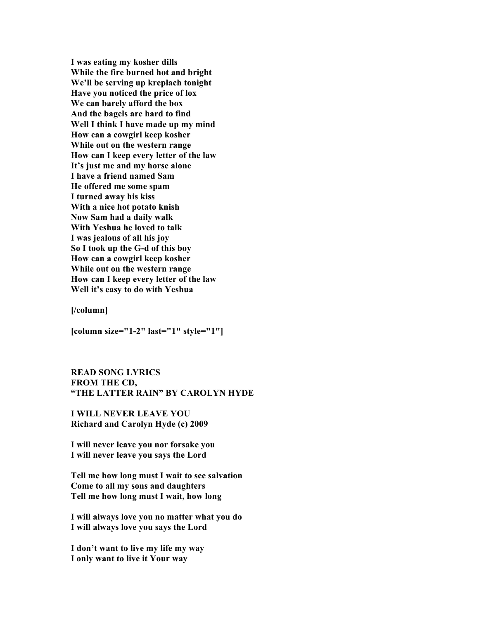**I was eating my kosher dills While the fire burned hot and bright We'll be serving up kreplach tonight Have you noticed the price of lox We can barely afford the box And the bagels are hard to find Well I think I have made up my mind How can a cowgirl keep kosher While out on the western range How can I keep every letter of the law It's just me and my horse alone I have a friend named Sam He offered me some spam I turned away his kiss With a nice hot potato knish Now Sam had a daily walk With Yeshua he loved to talk I was jealous of all his joy So I took up the G-d of this boy How can a cowgirl keep kosher While out on the western range How can I keep every letter of the law Well it's easy to do with Yeshua**

**[/column]**

**[column size="1-2" last="1" style="1"]**

**READ SONG LYRICS FROM THE CD, "THE LATTER RAIN" BY CAROLYN HYDE**

**I WILL NEVER LEAVE YOU Richard and Carolyn Hyde (c) 2009**

**I will never leave you nor forsake you I will never leave you says the Lord**

**Tell me how long must I wait to see salvation Come to all my sons and daughters Tell me how long must I wait, how long**

**I will always love you no matter what you do I will always love you says the Lord**

**I don't want to live my life my way I only want to live it Your way**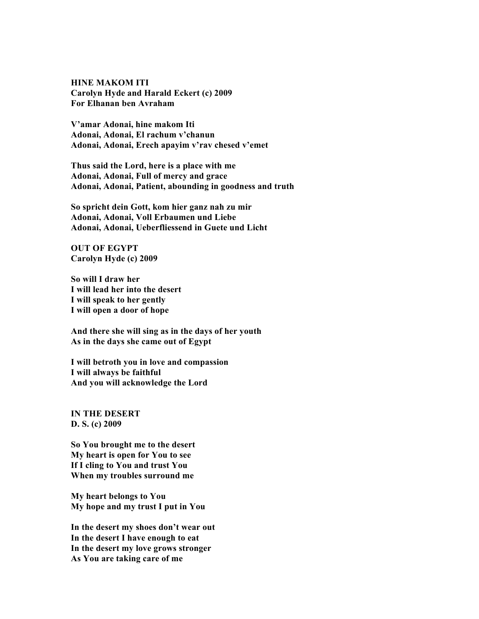# **HINE MAKOM ITI Carolyn Hyde and Harald Eckert (c) 2009 For Elhanan ben Avraham**

**V'amar Adonai, hine makom Iti Adonai, Adonai, El rachum v'chanun Adonai, Adonai, Erech apayim v'rav chesed v'emet**

**Thus said the Lord, here is a place with me Adonai, Adonai, Full of mercy and grace Adonai, Adonai, Patient, abounding in goodness and truth**

**So spricht dein Gott, kom hier ganz nah zu mir Adonai, Adonai, Voll Erbaumen und Liebe Adonai, Adonai, Ueberfliessend in Guete und Licht**

**OUT OF EGYPT Carolyn Hyde (c) 2009**

**So will I draw her I will lead her into the desert I will speak to her gently I will open a door of hope**

**And there she will sing as in the days of her youth As in the days she came out of Egypt**

**I will betroth you in love and compassion I will always be faithful And you will acknowledge the Lord**

**IN THE DESERT D. S. (c) 2009**

**So You brought me to the desert My heart is open for You to see If I cling to You and trust You When my troubles surround me**

**My heart belongs to You My hope and my trust I put in You**

**In the desert my shoes don't wear out In the desert I have enough to eat In the desert my love grows stronger As You are taking care of me**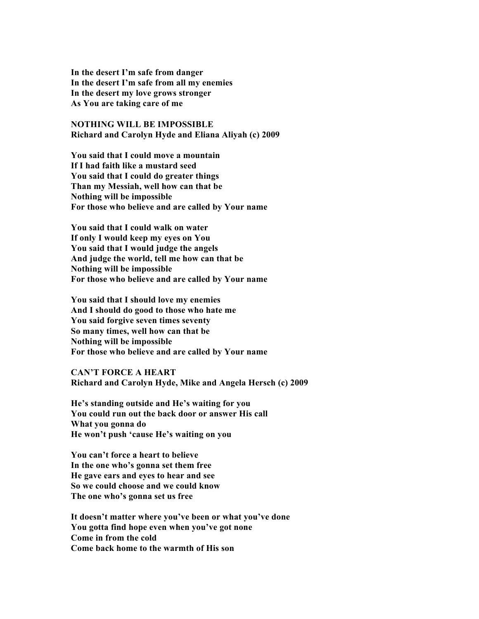**In the desert I'm safe from danger In the desert I'm safe from all my enemies In the desert my love grows stronger As You are taking care of me**

**NOTHING WILL BE IMPOSSIBLE Richard and Carolyn Hyde and Eliana Aliyah (c) 2009**

**You said that I could move a mountain If I had faith like a mustard seed You said that I could do greater things Than my Messiah, well how can that be Nothing will be impossible For those who believe and are called by Your name**

**You said that I could walk on water If only I would keep my eyes on You You said that I would judge the angels And judge the world, tell me how can that be Nothing will be impossible For those who believe and are called by Your name**

**You said that I should love my enemies And I should do good to those who hate me You said forgive seven times seventy So many times, well how can that be Nothing will be impossible For those who believe and are called by Your name**

**CAN'T FORCE A HEART Richard and Carolyn Hyde, Mike and Angela Hersch (c) 2009**

**He's standing outside and He's waiting for you You could run out the back door or answer His call What you gonna do He won't push 'cause He's waiting on you**

**You can't force a heart to believe In the one who's gonna set them free He gave ears and eyes to hear and see So we could choose and we could know The one who's gonna set us free**

**It doesn't matter where you've been or what you've done You gotta find hope even when you've got none Come in from the cold Come back home to the warmth of His son**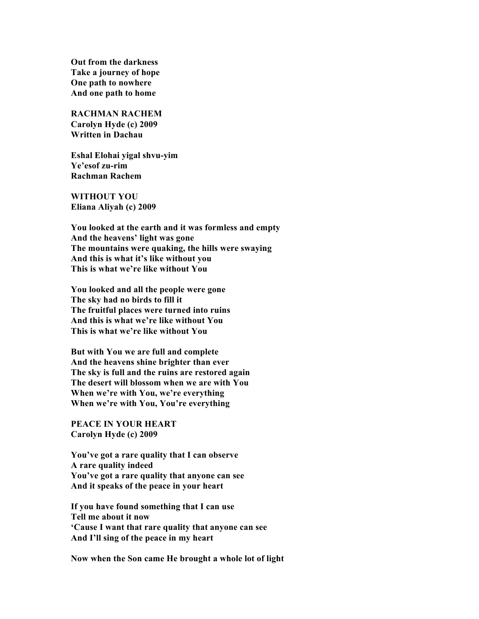**Out from the darkness Take a journey of hope One path to nowhere And one path to home**

**RACHMAN RACHEM Carolyn Hyde (c) 2009 Written in Dachau**

**Eshal Elohai yigal shvu-yim Ye'esof zu-rim Rachman Rachem**

**WITHOUT YOU Eliana Aliyah (c) 2009**

**You looked at the earth and it was formless and empty And the heavens' light was gone The mountains were quaking, the hills were swaying And this is what it's like without you This is what we're like without You**

**You looked and all the people were gone The sky had no birds to fill it The fruitful places were turned into ruins And this is what we're like without You This is what we're like without You**

**But with You we are full and complete And the heavens shine brighter than ever The sky is full and the ruins are restored again The desert will blossom when we are with You When we're with You, we're everything When we're with You, You're everything**

**PEACE IN YOUR HEART Carolyn Hyde (c) 2009**

**You've got a rare quality that I can observe A rare quality indeed You've got a rare quality that anyone can see And it speaks of the peace in your heart**

**If you have found something that I can use Tell me about it now 'Cause I want that rare quality that anyone can see And I'll sing of the peace in my heart**

**Now when the Son came He brought a whole lot of light**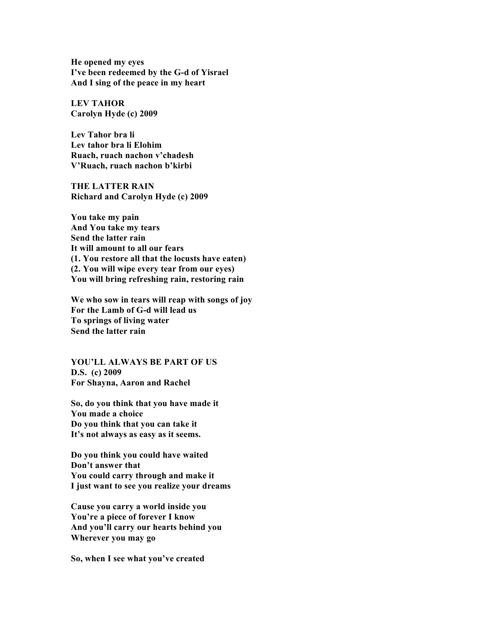**He opened my eyes I've been redeemed by the G-d of Yisrael And I sing of the peace in my heart**

**LEV TAHOR Carolyn Hyde (c) 2009**

**Lev Tahor bra li Lev tahor bra li Elohim Ruach, ruach nachon v'chadesh V'Ruach, ruach nachon b'kirbi**

**THE LATTER RAIN Richard and Carolyn Hyde (c) 2009**

**You take my pain And You take my tears Send the latter rain It will amount to all our fears (1. You restore all that the locusts have eaten) (2. You will wipe every tear from our eyes) You will bring refreshing rain, restoring rain**

**We who sow in tears will reap with songs of joy For the Lamb of G-d will lead us To springs of living water Send the latter rain**

**YOU'LL ALWAYS BE PART OF US D.S. (c) 2009 For Shayna, Aaron and Rachel**

**So, do you think that you have made it You made a choice Do you think that you can take it It's not always as easy as it seems.**

**Do you think you could have waited Don't answer that You could carry through and make it I just want to see you realize your dreams**

**Cause you carry a world inside you You're a piece of forever I know And you'll carry our hearts behind you Wherever you may go**

**So, when I see what you've created**